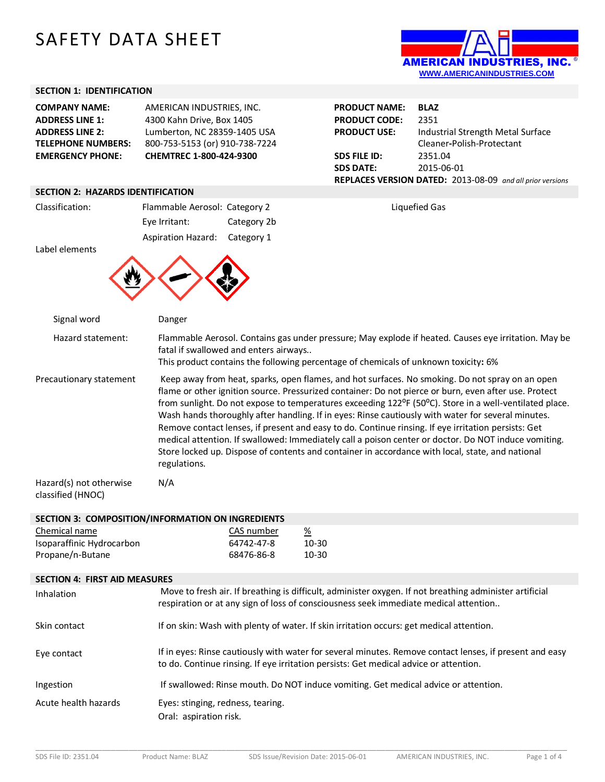# SAFETY DATA SHEET

## **SECTION 1: IDENTIFICATION**

| <b>COMPANY NAME:</b>      | AMERICAN INDUSTRIES, INC.      |
|---------------------------|--------------------------------|
| <b>ADDRESS LINE 1:</b>    | 4300 Kahn Drive, Box 1405      |
| <b>ADDRESS LINE 2:</b>    | Lumberton, NC 28359-1405 USA   |
| <b>TELEPHONE NUMBERS:</b> | 800-753-5153 (or) 910-738-7224 |
| <b>EMERGENCY PHONE:</b>   | CHEMTREC 1-800-424-9300        |

## **SECTION 2: HAZARDS IDENTIFICATION**

| LUI DI LI TIALANDJ IDLI I II IUA I IUI I |                                                                             |                                       |                                                                                                                                                                                                                                                                                                                                                                                                                                                                                                                                                                                                                                                                                                                                                                       |  |
|------------------------------------------|-----------------------------------------------------------------------------|---------------------------------------|-----------------------------------------------------------------------------------------------------------------------------------------------------------------------------------------------------------------------------------------------------------------------------------------------------------------------------------------------------------------------------------------------------------------------------------------------------------------------------------------------------------------------------------------------------------------------------------------------------------------------------------------------------------------------------------------------------------------------------------------------------------------------|--|
| Classification:                          | Flammable Aerosol: Category 2<br>Eye Irritant:<br><b>Aspiration Hazard:</b> | Category 2b<br>Category 1             | Liquefied Gas                                                                                                                                                                                                                                                                                                                                                                                                                                                                                                                                                                                                                                                                                                                                                         |  |
| Label elements                           |                                                                             |                                       |                                                                                                                                                                                                                                                                                                                                                                                                                                                                                                                                                                                                                                                                                                                                                                       |  |
| Signal word                              | Danger                                                                      |                                       |                                                                                                                                                                                                                                                                                                                                                                                                                                                                                                                                                                                                                                                                                                                                                                       |  |
| Hazard statement:                        |                                                                             | fatal if swallowed and enters airways | Flammable Aerosol. Contains gas under pressure; May explode if heated. Causes eye irritation. May be<br>This product contains the following percentage of chemicals of unknown toxicity: 6%                                                                                                                                                                                                                                                                                                                                                                                                                                                                                                                                                                           |  |
| Precautionary statement                  | regulations.                                                                |                                       | Keep away from heat, sparks, open flames, and hot surfaces. No smoking. Do not spray on an open<br>flame or other ignition source. Pressurized container: Do not pierce or burn, even after use. Protect<br>from sunlight. Do not expose to temperatures exceeding 122 <sup>o</sup> F (50 <sup>o</sup> C). Store in a well-ventilated place.<br>Wash hands thoroughly after handling. If in eyes: Rinse cautiously with water for several minutes.<br>Remove contact lenses, if present and easy to do. Continue rinsing. If eye irritation persists: Get<br>medical attention. If swallowed: Immediately call a poison center or doctor. Do NOT induce vomiting.<br>Store locked up. Dispose of contents and container in accordance with local, state, and national |  |

Hazard(s) not otherwise classified (HNOC)

# **SECTION 3: COMPOSITION/INFORMATION ON INGREDIENTS**

N/A

| Chemical name             | CAS number | <u>%</u> |
|---------------------------|------------|----------|
| Isoparaffinic Hydrocarbon | 64742-47-8 | 10-30    |
| Propane/n-Butane          | 68476-86-8 | 10-30    |

## **SECTION 4: FIRST AID MEASURES**

| Inhalation           | Move to fresh air. If breathing is difficult, administer oxygen. If not breathing administer artificial<br>respiration or at any sign of loss of consciousness seek immediate medical attention  |
|----------------------|--------------------------------------------------------------------------------------------------------------------------------------------------------------------------------------------------|
| Skin contact         | If on skin: Wash with plenty of water. If skin irritation occurs: get medical attention.                                                                                                         |
| Eye contact          | If in eyes: Rinse cautiously with water for several minutes. Remove contact lenses, if present and easy<br>to do. Continue rinsing. If eye irritation persists: Get medical advice or attention. |
| Ingestion            | If swallowed: Rinse mouth. Do NOT induce vomiting. Get medical advice or attention.                                                                                                              |
| Acute health hazards | Eyes: stinging, redness, tearing.<br>Oral: aspiration risk.                                                                                                                                      |



| <b>PRODUCT NAME:</b> | <b>BLAZ</b>                                                      |
|----------------------|------------------------------------------------------------------|
| <b>PRODUCT CODE:</b> | 2351                                                             |
| <b>PRODUCT USE:</b>  | Industrial Strength Metal Surface                                |
|                      | Cleaner-Polish-Protectant                                        |
| <b>SDS FILE ID:</b>  | 2351.04                                                          |
| <b>SDS DATE:</b>     | 2015-06-01                                                       |
|                      | <b>REPLACES VERSION DATED: 2013-08-09</b> and all prior versions |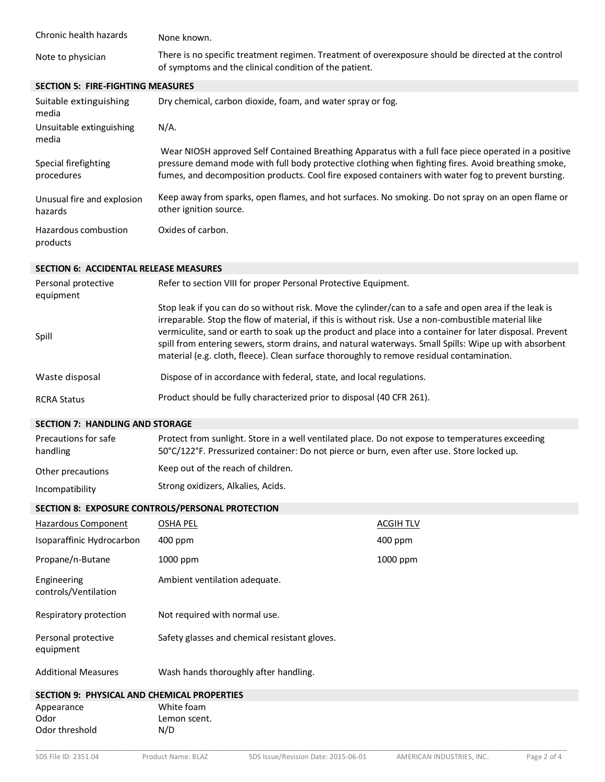| Chronic health hazards                   | None known.                                                                                                                                                   |
|------------------------------------------|---------------------------------------------------------------------------------------------------------------------------------------------------------------|
| Note to physician                        | There is no specific treatment regimen. Treatment of overexposure should be directed at the control<br>of symptoms and the clinical condition of the patient. |
| <b>SECTION 5: FIRE-FIGHTING MEASURES</b> |                                                                                                                                                               |

| Suitable extinguishing<br>media       | Dry chemical, carbon dioxide, foam, and water spray or fog.                                                                                                                                                                                                                                                        |
|---------------------------------------|--------------------------------------------------------------------------------------------------------------------------------------------------------------------------------------------------------------------------------------------------------------------------------------------------------------------|
| Unsuitable extinguishing<br>media     | $N/A$ .                                                                                                                                                                                                                                                                                                            |
| Special firefighting<br>procedures    | Wear NIOSH approved Self Contained Breathing Apparatus with a full face piece operated in a positive<br>pressure demand mode with full body protective clothing when fighting fires. Avoid breathing smoke,<br>fumes, and decomposition products. Cool fire exposed containers with water fog to prevent bursting. |
| Unusual fire and explosion<br>hazards | Keep away from sparks, open flames, and hot surfaces. No smoking. Do not spray on an open flame or<br>other ignition source.                                                                                                                                                                                       |
| Hazardous combustion<br>products      | Oxides of carbon.                                                                                                                                                                                                                                                                                                  |

### **SECTION 6: ACCIDENTAL RELEASE MEASURES**

| Personal protective<br>equipment | Refer to section VIII for proper Personal Protective Equipment.                                                                                                                                                                                                                                                                                                                                                                                                                                                                 |
|----------------------------------|---------------------------------------------------------------------------------------------------------------------------------------------------------------------------------------------------------------------------------------------------------------------------------------------------------------------------------------------------------------------------------------------------------------------------------------------------------------------------------------------------------------------------------|
| Spill                            | Stop leak if you can do so without risk. Move the cylinder/can to a safe and open area if the leak is<br>irreparable. Stop the flow of material, if this is without risk. Use a non-combustible material like<br>vermiculite, sand or earth to soak up the product and place into a container for later disposal. Prevent<br>spill from entering sewers, storm drains, and natural waterways. Small Spills: Wipe up with absorbent<br>material (e.g. cloth, fleece). Clean surface thoroughly to remove residual contamination. |
| Waste disposal                   | Dispose of in accordance with federal, state, and local regulations.                                                                                                                                                                                                                                                                                                                                                                                                                                                            |
| <b>RCRA Status</b>               | Product should be fully characterized prior to disposal (40 CFR 261).                                                                                                                                                                                                                                                                                                                                                                                                                                                           |

# **SECTION 7: HANDLING AND STORAGE**

| Precautions for safe<br>handling | Protect from sunlight. Store in a well ventilated place. Do not expose to temperatures exceeding<br>50°C/122°F. Pressurized container: Do not pierce or burn, even after use. Store locked up. |
|----------------------------------|------------------------------------------------------------------------------------------------------------------------------------------------------------------------------------------------|
| Other precautions                | Keep out of the reach of children.                                                                                                                                                             |
| Incompatibility                  | Strong oxidizers, Alkalies, Acids.                                                                                                                                                             |

# **SECTION 8: EXPOSURE CONTROLS/PERSONAL PROTECTION**

| Hazardous Component                         | <b>OSHA PEL</b>                               | <b>ACGIH TLV</b> |
|---------------------------------------------|-----------------------------------------------|------------------|
| Isoparaffinic Hydrocarbon                   | 400 ppm                                       | 400 ppm          |
| Propane/n-Butane                            | 1000 ppm                                      | 1000 ppm         |
| Engineering<br>controls/Ventilation         | Ambient ventilation adequate.                 |                  |
| Respiratory protection                      | Not required with normal use.                 |                  |
| Personal protective<br>equipment            | Safety glasses and chemical resistant gloves. |                  |
| <b>Additional Measures</b>                  | Wash hands thoroughly after handling.         |                  |
| SECTION 9: PHYSICAL AND CHEMICAL PROPERTIES |                                               |                  |
| Appearance                                  | White foam                                    |                  |

# \_\_\_\_\_\_\_\_\_\_\_\_\_\_\_\_\_\_\_\_\_\_\_\_\_\_\_\_\_\_\_\_\_\_\_\_\_\_\_\_\_\_\_\_\_\_\_\_\_\_\_\_\_\_\_\_\_\_\_\_\_\_\_\_\_\_\_\_\_\_\_\_\_\_\_\_\_\_\_\_\_\_\_\_\_\_\_\_\_\_\_\_\_\_\_\_\_\_\_\_\_\_\_\_\_\_\_\_\_\_\_\_\_\_\_\_\_\_\_\_ Odor<br>
Odor threshold
Band Codor threshold
N/D
Codor threshold
Codor
N/D
Codor
Codor
Lemon scent.
N/D
Codor
Lemon scent.
N/D
Codor
Lemon scent.
N/D
Codor
Lemon scent.
N/D
Codor
Lemon scent.
N/D
Codor
Lemon scent.
N/D
Codor Odor threshold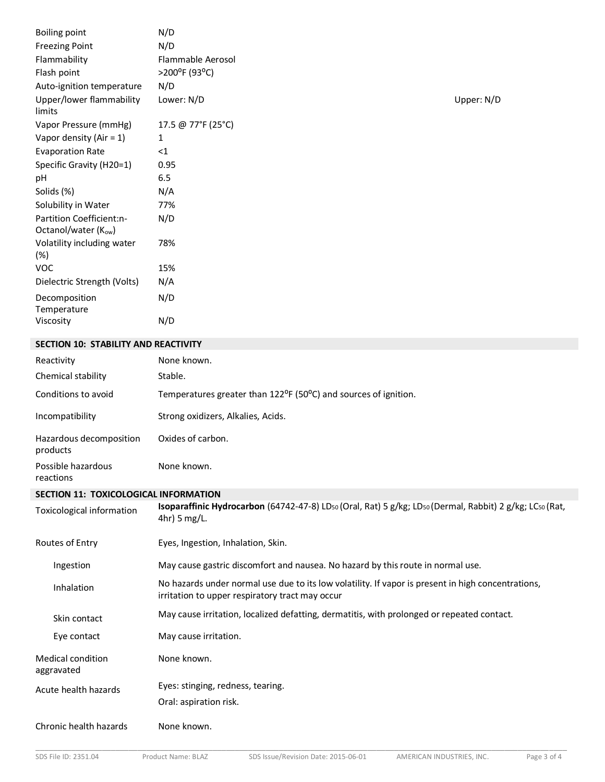| <b>Boiling point</b>                            | N/D                |            |
|-------------------------------------------------|--------------------|------------|
| <b>Freezing Point</b>                           | N/D                |            |
| Flammability                                    | Flammable Aerosol  |            |
| Flash point                                     | >200°F (93°C)      |            |
| Auto-ignition temperature                       | N/D                |            |
| Upper/lower flammability<br>limits              | Lower: N/D         | Upper: N/D |
| Vapor Pressure (mmHg)                           | 17.5 @ 77°F (25°C) |            |
| Vapor density (Air = $1$ )                      | 1                  |            |
| <b>Evaporation Rate</b>                         | $<$ 1              |            |
| Specific Gravity (H20=1)                        | 0.95               |            |
| pH                                              | 6.5                |            |
| Solids (%)                                      | N/A                |            |
| Solubility in Water                             | 77%                |            |
| Partition Coefficient:n-<br>Octanol/water (Kow) | N/D                |            |
| Volatility including water<br>(%)               | 78%                |            |
| <b>VOC</b>                                      | 15%                |            |
| Dielectric Strength (Volts)                     | N/A                |            |
| Decomposition                                   | N/D                |            |
| Temperature                                     |                    |            |
| Viscosity                                       | N/D                |            |
| <b>SECTION 10: STABILITY AND REACTIVITY</b>     |                    |            |

Conditions to avoid Temperatures greater than 122<sup>o</sup>F (50<sup>o</sup>C) and sources of ignition.

# **SECTION 11: TOXICOLOGICAL INFORMATION**

Incompatibility Strong oxidizers, Alkalies, Acids.

Oxides of carbon.

None known.

Reactivity **None known**.

Chemical stability Stable.

Hazardous decomposition

Possible hazardous

products

reactions

| <b>Toxicological information</b>       | Isoparaffinic Hydrocarbon (64742-47-8) LD50 (Oral, Rat) 5 g/kg; LD50 (Dermal, Rabbit) 2 g/kg; LC50 (Rat,<br>$4hr$ ) 5 mg/L.                           |
|----------------------------------------|-------------------------------------------------------------------------------------------------------------------------------------------------------|
| Routes of Entry                        | Eyes, Ingestion, Inhalation, Skin.                                                                                                                    |
| Ingestion                              | May cause gastric discomfort and nausea. No hazard by this route in normal use.                                                                       |
| Inhalation                             | No hazards under normal use due to its low volatility. If vapor is present in high concentrations,<br>irritation to upper respiratory tract may occur |
| Skin contact                           | May cause irritation, localized defatting, dermatitis, with prolonged or repeated contact.                                                            |
| Eye contact                            | May cause irritation.                                                                                                                                 |
| <b>Medical condition</b><br>aggravated | None known.                                                                                                                                           |
| Acute health hazards                   | Eyes: stinging, redness, tearing.                                                                                                                     |
|                                        | Oral: aspiration risk.                                                                                                                                |
| Chronic health hazards                 | None known.                                                                                                                                           |